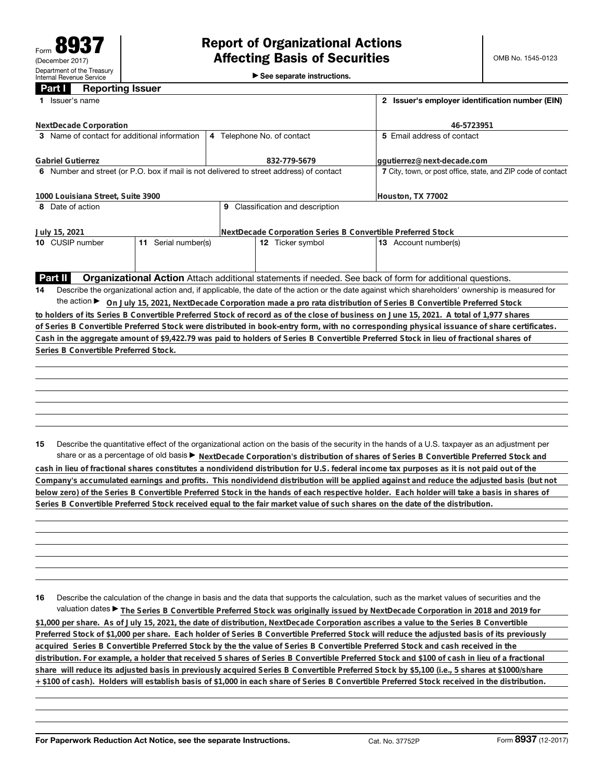►<br>► See separate instructions.

## **Part I Reporting Issuer**

| Issuer's name<br>1.                                                                                                                    | 2 Issuer's employer identification number (EIN)              |                                                                                                                                                 |  |  |  |
|----------------------------------------------------------------------------------------------------------------------------------------|--------------------------------------------------------------|-------------------------------------------------------------------------------------------------------------------------------------------------|--|--|--|
| <b>NextDecade Corporation</b>                                                                                                          | 46-5723951                                                   |                                                                                                                                                 |  |  |  |
| 3 Name of contact for additional information                                                                                           | 4 Telephone No. of contact                                   | 5 Email address of contact                                                                                                                      |  |  |  |
| <b>Gabriel Gutierrez</b>                                                                                                               | 832-779-5679                                                 | ggutierrez@next-decade.com                                                                                                                      |  |  |  |
| 6 Number and street (or P.O. box if mail is not delivered to street address) of contact                                                | 7 City, town, or post office, state, and ZIP code of contact |                                                                                                                                                 |  |  |  |
| 1000 Louisiana Street, Suite 3900                                                                                                      | Houston, TX 77002                                            |                                                                                                                                                 |  |  |  |
| 8 Date of action                                                                                                                       | 9 Classification and description                             |                                                                                                                                                 |  |  |  |
| July 15, 2021                                                                                                                          |                                                              | NextDecade Corporation Series B Convertible Preferred Stock                                                                                     |  |  |  |
| 11 Serial number(s)<br>10 CUSIP number                                                                                                 | 12 Ticker symbol                                             | 13 Account number(s)                                                                                                                            |  |  |  |
|                                                                                                                                        |                                                              |                                                                                                                                                 |  |  |  |
| Part II                                                                                                                                |                                                              | Organizational Action Attach additional statements if needed. See back of form for additional questions.                                        |  |  |  |
| 14                                                                                                                                     |                                                              | Describe the organizational action and, if applicable, the date of the action or the date against which shareholders' ownership is measured for |  |  |  |
|                                                                                                                                        |                                                              | the action ► On July 15, 2021, NextDecade Corporation made a pro rata distribution of Series B Convertible Preferred Stock                      |  |  |  |
| to holders of its Series B Convertible Preferred Stock of record as of the close of business on June 15, 2021. A total of 1,977 shares |                                                              |                                                                                                                                                 |  |  |  |
|                                                                                                                                        |                                                              | of Series B Convertible Preferred Stock were distributed in book-entry form, with no corresponding physical issuance of share certificates.     |  |  |  |
| Cash in the aggregate amount of \$9,422.79 was paid to holders of Series B Convertible Preferred Stock in lieu of fractional shares of |                                                              |                                                                                                                                                 |  |  |  |
| Series B Convertible Preferred Stock.                                                                                                  |                                                              |                                                                                                                                                 |  |  |  |
|                                                                                                                                        |                                                              |                                                                                                                                                 |  |  |  |
|                                                                                                                                        |                                                              |                                                                                                                                                 |  |  |  |
|                                                                                                                                        |                                                              |                                                                                                                                                 |  |  |  |
|                                                                                                                                        |                                                              |                                                                                                                                                 |  |  |  |
|                                                                                                                                        |                                                              |                                                                                                                                                 |  |  |  |
| 15                                                                                                                                     |                                                              | Describe the quantitative effect of the organizational action on the basis of the security in the hands of a U.S. taxpayer as an adjustment per |  |  |  |
|                                                                                                                                        |                                                              | share or as a percentage of old basis > NextDecade Corporation's distribution of shares of Series B Convertible Preferred Stock and             |  |  |  |
|                                                                                                                                        |                                                              | cash in lieu of fractional shares constitutes a nondividend distribution for U.S. federal income tax purposes as it is not paid out of the      |  |  |  |

**16** Describe the calculation of the change in basis and the data that supports the calculation, such as the market values of securities and the valuation dates ▶ The Series B Convertible Preferred Stock was originally issued by NextDecade Corporation in 2018 and 2019 for **\$1,000 per share. As of July 15, 2021, the date of distribution, NextDecade Corporation ascribes a value to the Series B Convertible Preferred Stock of \$1,000 per share. Each holder of Series B Convertible Preferred Stock will reduce the adjusted basis of its previously acquired Series B Convertible Preferred Stock by the the value of Series B Convertible Preferred Stock and cash received in the distribution. For example, a holder that received 5 shares of Series B Convertible Preferred Stock and \$100 of cash in lieu of a fractional share will reduce its adjusted basis in previously acquired Series B Convertible Preferred Stock by \$5,100 (i.e., 5 shares at \$1000/share + \$100 of cash). Holders will establish basis of \$1,000 in each share of Series B Convertible Preferred Stock received in the distribution.**

**Company's accumulated earnings and profits. This nondividend distribution will be applied against and reduce the adjusted basis (but not below zero) of the Series B Convertible Preferred Stock in the hands of each respective holder. Each holder will take a basis in shares of**

**Series B Convertible Preferred Stock received equal to the fair market value of such shares on the date of the distribution.**